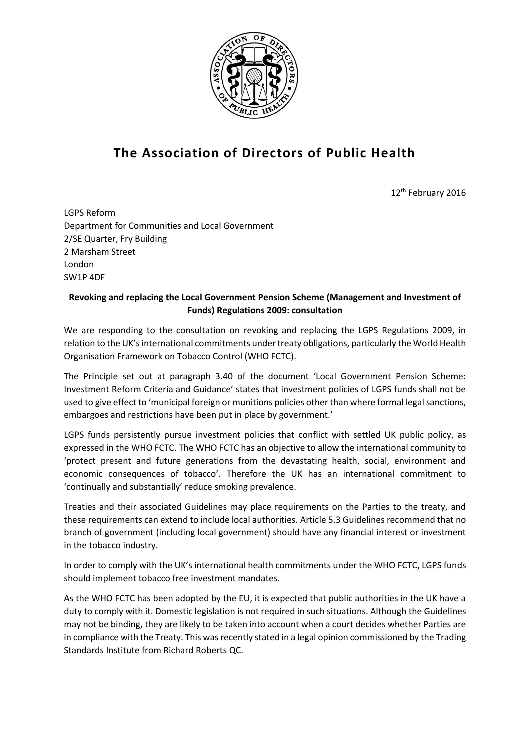

## **The Association of Directors of Public Health**

12<sup>th</sup> February 2016

LGPS Reform Department for Communities and Local Government 2/SE Quarter, Fry Building 2 Marsham Street London SW1P 4DF

## **Revoking and replacing the Local Government Pension Scheme (Management and Investment of Funds) Regulations 2009: consultation**

We are responding to the consultation on revoking and replacing the LGPS Regulations 2009, in relation to the UK's international commitments under treaty obligations, particularly the World Health Organisation Framework on Tobacco Control (WHO FCTC).

The Principle set out at paragraph 3.40 of the document 'Local Government Pension Scheme: Investment Reform Criteria and Guidance' states that investment policies of LGPS funds shall not be used to give effect to 'municipal foreign or munitions policies other than where formal legal sanctions, embargoes and restrictions have been put in place by government.'

LGPS funds persistently pursue investment policies that conflict with settled UK public policy, as expressed in the WHO FCTC. The WHO FCTC has an objective to allow the international community to 'protect present and future generations from the devastating health, social, environment and economic consequences of tobacco'. Therefore the UK has an international commitment to 'continually and substantially' reduce smoking prevalence.

Treaties and their associated Guidelines may place requirements on the Parties to the treaty, and these requirements can extend to include local authorities. Article 5.3 Guidelines recommend that no branch of government (including local government) should have any financial interest or investment in the tobacco industry.

In order to comply with the UK's international health commitments under the WHO FCTC, LGPS funds should implement tobacco free investment mandates.

As the WHO FCTC has been adopted by the EU, it is expected that public authorities in the UK have a duty to comply with it. Domestic legislation is not required in such situations. Although the Guidelines may not be binding, they are likely to be taken into account when a court decides whether Parties are in compliance with the Treaty. This was recently stated in a legal opinion commissioned by the Trading Standards Institute from Richard Roberts QC.